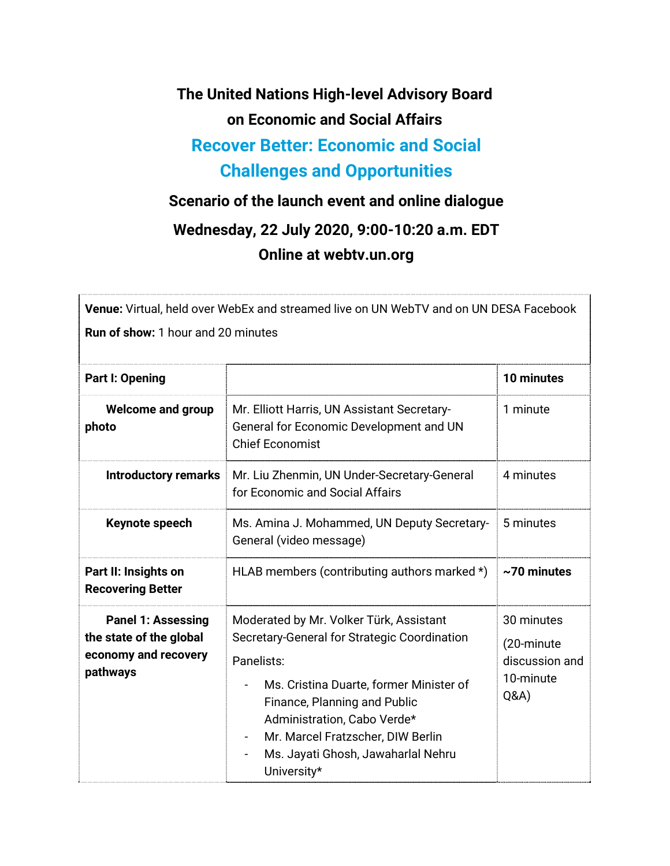**The United Nations High-level Advisory Board on Economic and Social Affairs Recover Better: Economic and Social** 

## **Challenges and Opportunities**

## **Scenario of the launch event and online dialogue**

## **Wednesday, 22 July 2020, 9:00-10:20 a.m. EDT Online at webtv.un.org**

**Venue:** Virtual, held over WebEx and streamed live on UN WebTV and on UN DESA Facebook **Run of show:** 1 hour and 20 minutes

| <b>Part I: Opening</b>                                                                   |                                                                                                                                                                                                                                                                                                           | 10 minutes                                                     |
|------------------------------------------------------------------------------------------|-----------------------------------------------------------------------------------------------------------------------------------------------------------------------------------------------------------------------------------------------------------------------------------------------------------|----------------------------------------------------------------|
| <b>Welcome and group</b><br>photo                                                        | Mr. Elliott Harris, UN Assistant Secretary-<br>General for Economic Development and UN<br><b>Chief Economist</b>                                                                                                                                                                                          | 1 minute                                                       |
| <b>Introductory remarks</b>                                                              | Mr. Liu Zhenmin, UN Under-Secretary-General<br>for Economic and Social Affairs                                                                                                                                                                                                                            | 4 minutes                                                      |
| Keynote speech                                                                           | Ms. Amina J. Mohammed, UN Deputy Secretary-<br>General (video message)                                                                                                                                                                                                                                    | 5 minutes                                                      |
| Part II: Insights on<br><b>Recovering Better</b>                                         | HLAB members (contributing authors marked *)                                                                                                                                                                                                                                                              | $\sim$ 70 minutes                                              |
| <b>Panel 1: Assessing</b><br>the state of the global<br>economy and recovery<br>pathways | Moderated by Mr. Volker Türk, Assistant<br>Secretary-General for Strategic Coordination<br>Panelists:<br>Ms. Cristina Duarte, former Minister of<br>Finance, Planning and Public<br>Administration, Cabo Verde*<br>Mr. Marcel Fratzscher, DIW Berlin<br>Ms. Jayati Ghosh, Jawaharlal Nehru<br>University* | 30 minutes<br>(20-minute<br>discussion and<br>10-minute<br>Q&A |